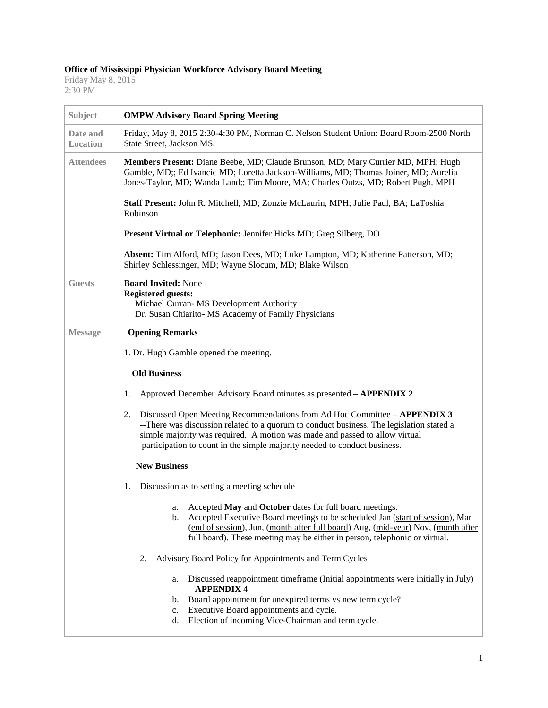## **Office of Mississippi Physician Workforce Advisory Board Meeting**

Friday May 8, 2015 2:30 PM

| Subject              | <b>OMPW Advisory Board Spring Meeting</b>                                                                                                                                                                                                                                                                                               |
|----------------------|-----------------------------------------------------------------------------------------------------------------------------------------------------------------------------------------------------------------------------------------------------------------------------------------------------------------------------------------|
| Date and<br>Location | Friday, May 8, 2015 2:30-4:30 PM, Norman C. Nelson Student Union: Board Room-2500 North<br>State Street, Jackson MS.                                                                                                                                                                                                                    |
| <b>Attendees</b>     | Members Present: Diane Beebe, MD; Claude Brunson, MD; Mary Currier MD, MPH; Hugh<br>Gamble, MD;; Ed Ivancic MD; Loretta Jackson-Williams, MD; Thomas Joiner, MD; Aurelia<br>Jones-Taylor, MD; Wanda Land;; Tim Moore, MA; Charles Outzs, MD; Robert Pugh, MPH                                                                           |
|                      | Staff Present: John R. Mitchell, MD; Zonzie McLaurin, MPH; Julie Paul, BA; LaToshia<br>Robinson                                                                                                                                                                                                                                         |
|                      | Present Virtual or Telephonic: Jennifer Hicks MD; Greg Silberg, DO                                                                                                                                                                                                                                                                      |
|                      | Absent: Tim Alford, MD; Jason Dees, MD; Luke Lampton, MD; Katherine Patterson, MD;<br>Shirley Schlessinger, MD; Wayne Slocum, MD; Blake Wilson                                                                                                                                                                                          |
| <b>Guests</b>        | <b>Board Invited: None</b><br><b>Registered guests:</b><br>Michael Curran-MS Development Authority<br>Dr. Susan Chiarito- MS Academy of Family Physicians                                                                                                                                                                               |
| <b>Message</b>       | <b>Opening Remarks</b>                                                                                                                                                                                                                                                                                                                  |
|                      | 1. Dr. Hugh Gamble opened the meeting.                                                                                                                                                                                                                                                                                                  |
|                      | <b>Old Business</b>                                                                                                                                                                                                                                                                                                                     |
|                      | Approved December Advisory Board minutes as presented - APPENDIX 2<br>1.                                                                                                                                                                                                                                                                |
|                      | Discussed Open Meeting Recommendations from Ad Hoc Committee - APPENDIX 3<br>2.<br>--There was discussion related to a quorum to conduct business. The legislation stated a<br>simple majority was required. A motion was made and passed to allow virtual<br>participation to count in the simple majority needed to conduct business. |
|                      | <b>New Business</b>                                                                                                                                                                                                                                                                                                                     |
|                      | Discussion as to setting a meeting schedule<br>1.                                                                                                                                                                                                                                                                                       |
|                      | a. Accepted May and October dates for full board meetings.<br>Accepted Executive Board meetings to be scheduled Jan (start of session), Mar<br>b.<br>(end of session), Jun, (month after full board) Aug, (mid-year) Nov, (month after<br>full board). These meeting may be either in person, telephonic or virtual.                    |
|                      | Advisory Board Policy for Appointments and Term Cycles<br>2.                                                                                                                                                                                                                                                                            |
|                      | Discussed reappointment timeframe (Initial appointments were initially in July)<br>a.<br>- APPENDIX 4                                                                                                                                                                                                                                   |
|                      | Board appointment for unexpired terms vs new term cycle?<br>b.                                                                                                                                                                                                                                                                          |
|                      | Executive Board appointments and cycle.<br>c.<br>Election of incoming Vice-Chairman and term cycle.<br>d.                                                                                                                                                                                                                               |
|                      |                                                                                                                                                                                                                                                                                                                                         |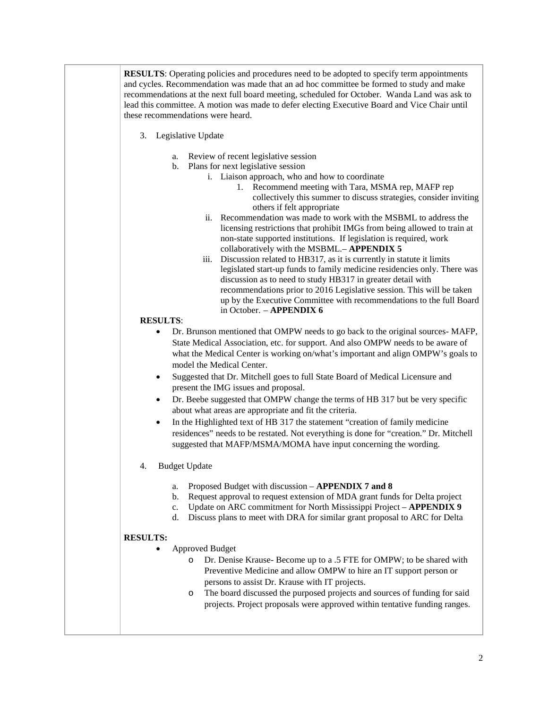**RESULTS**: Operating policies and procedures need to be adopted to specify term appointments and cycles. Recommendation was made that an ad hoc committee be formed to study and make recommendations at the next full board meeting, scheduled for October. Wanda Land was ask to lead this committee. A motion was made to defer electing Executive Board and Vice Chair until these recommendations were heard.

- 3. Legislative Update
	- a. Review of recent legislative session
	- b. Plans for next legislative session
		- i. Liaison approach, who and how to coordinate
			- 1. Recommend meeting with Tara, MSMA rep, MAFP rep collectively this summer to discuss strategies, consider inviting others if felt appropriate
		- ii. Recommendation was made to work with the MSBML to address the licensing restrictions that prohibit IMGs from being allowed to train at non-state supported institutions. If legislation is required, work collaboratively with the MSBML.– **APPENDIX 5**
		- iii. Discussion related to HB317, as it is currently in statute it limits legislated start-up funds to family medicine residencies only. There was discussion as to need to study HB317 in greater detail with recommendations prior to 2016 Legislative session. This will be taken up by the Executive Committee with recommendations to the full Board in October. – **APPENDIX 6**

## **RESULTS**:

- Dr. Brunson mentioned that OMPW needs to go back to the original sources- MAFP, State Medical Association, etc. for support. And also OMPW needs to be aware of what the Medical Center is working on/what's important and align OMPW's goals to model the Medical Center.
- Suggested that Dr. Mitchell goes to full State Board of Medical Licensure and present the IMG issues and proposal.
- Dr. Beebe suggested that OMPW change the terms of HB 317 but be very specific about what areas are appropriate and fit the criteria.
- In the Highlighted text of HB 317 the statement "creation of family medicine" residences" needs to be restated. Not everything is done for "creation." Dr. Mitchell suggested that MAFP/MSMA/MOMA have input concerning the wording.
- 4. Budget Update
	- a. Proposed Budget with discussion **APPENDIX 7 and 8**
	- b. Request approval to request extension of MDA grant funds for Delta project
	- c. Update on ARC commitment for North Mississippi Project **APPENDIX 9**
	- d. Discuss plans to meet with DRA for similar grant proposal to ARC for Delta

## **RESULTS:**

- Approved Budget
	- o Dr. Denise Krause- Become up to a .5 FTE for OMPW; to be shared with Preventive Medicine and allow OMPW to hire an IT support person or persons to assist Dr. Krause with IT projects.
	- o The board discussed the purposed projects and sources of funding for said projects. Project proposals were approved within tentative funding ranges.